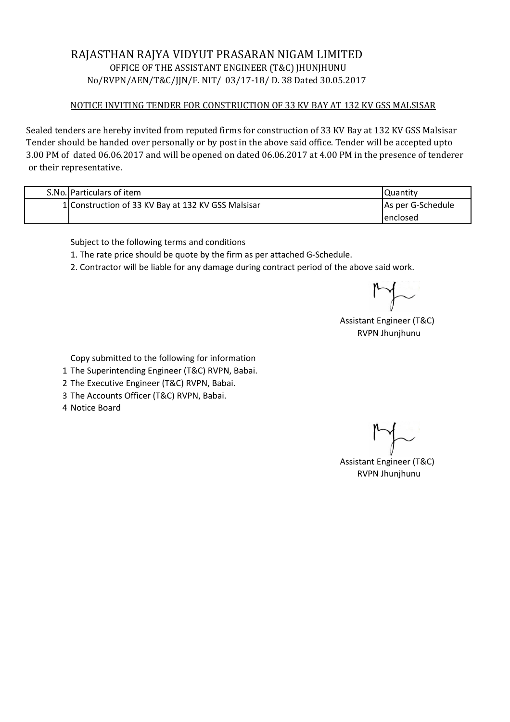## RAJASTHAN RAJYA VIDYUT PRASARAN NIGAM LIMITED OFFICE OF THE ASSISTANT ENGINEER (T&C) JHUNJHUNU No/RVPN/AEN/T&C/JJN/F. NIT/ 03/17-18/ D. 38 Dated 30.05.2017

## NOTICE INVITING TENDER FOR CONSTRUCTION OF 33 KV BAY AT 132 KV GSS MALSISAR

Sealed tenders are hereby invited from reputed firms for construction of 33 KV Bay at 132 KV GSS Malsisar Tender should be handed over personally or by post in the above said office. Tender will be accepted upto 3.00 PM of dated 06.06.2017 and will be opened on dated 06.06.2017 at 4.00 PM in the presence of tenderer or their representative.

| S.No. Particulars of item                          | Quantity          |
|----------------------------------------------------|-------------------|
| 1 Construction of 33 KV Bay at 132 KV GSS Malsisar | As per G-Schedule |
|                                                    | lenclosed         |

Subject to the following terms and conditions

1. The rate price should be quote by the firm as per attached G-Schedule.

2. Contractor will be liable for any damage during contract period of the above said work.

Assistant Engineer (T&C) RVPN Jhunjhunu

Copy submitted to the following for information

- 1 The Superintending Engineer (T&C) RVPN, Babai.
- 2 The Executive Engineer (T&C) RVPN, Babai.
- 3 The Accounts Officer (T&C) RVPN, Babai.
- 4 Notice Board

Assistant Engineer (T&C) RVPN Jhunjhunu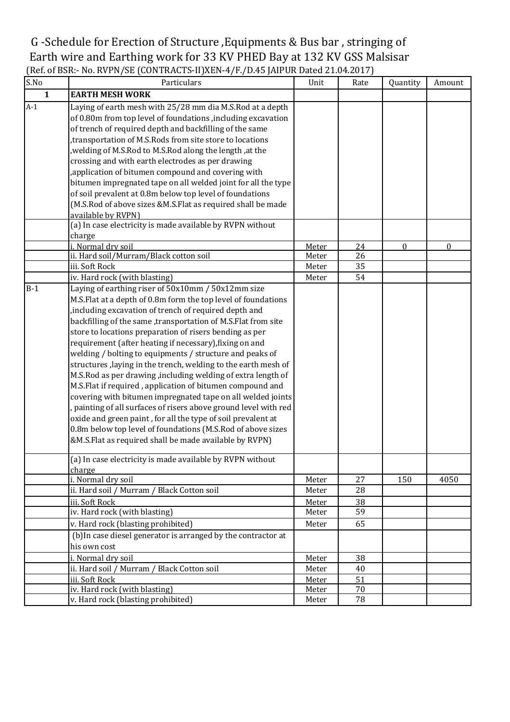## G -Schedule for Erection of Structure ,Equipments & Bus bar , stringing of Earth wire and Earthing work for 33 KV PHED Bay at 132 KV GSS Malsisar (Ref. of BSR:- No. RVPN/SE (CONTRACTS-II)XEN-4/F./D.45 JAIPUR Dated 21.04.2017)

| S.No         | Particulars                                                                                                                                                                                                                                                                                                                                                                                                                                                                                                                                                                                                                                                                                                                                                                                                                                                                                                                                                                                                              | Unit           | Rate     | Quantity     | Amount   |
|--------------|--------------------------------------------------------------------------------------------------------------------------------------------------------------------------------------------------------------------------------------------------------------------------------------------------------------------------------------------------------------------------------------------------------------------------------------------------------------------------------------------------------------------------------------------------------------------------------------------------------------------------------------------------------------------------------------------------------------------------------------------------------------------------------------------------------------------------------------------------------------------------------------------------------------------------------------------------------------------------------------------------------------------------|----------------|----------|--------------|----------|
| $\mathbf{1}$ | <b>EARTH MESH WORK</b>                                                                                                                                                                                                                                                                                                                                                                                                                                                                                                                                                                                                                                                                                                                                                                                                                                                                                                                                                                                                   |                |          |              |          |
| $A-1$        | Laying of earth mesh with 25/28 mm dia M.S.Rod at a depth<br>of 0.80m from top level of foundations , including excavation<br>of trench of required depth and backfilling of the same<br>transportation of M.S.Rods from site store to locations                                                                                                                                                                                                                                                                                                                                                                                                                                                                                                                                                                                                                                                                                                                                                                         |                |          |              |          |
|              | , welding of M.S.Rod to M.S.Rod along the length, at the<br>crossing and with earth electrodes as per drawing                                                                                                                                                                                                                                                                                                                                                                                                                                                                                                                                                                                                                                                                                                                                                                                                                                                                                                            |                |          |              |          |
|              | , application of bitumen compound and covering with<br>bitumen impregnated tape on all welded joint for all the type<br>of soil prevalent at 0.8m below top level of foundations                                                                                                                                                                                                                                                                                                                                                                                                                                                                                                                                                                                                                                                                                                                                                                                                                                         |                |          |              |          |
|              | (M.S.Rod of above sizes &M.S.Flat as required shall be made<br>available by RVPN)<br>(a) In case electricity is made available by RVPN without                                                                                                                                                                                                                                                                                                                                                                                                                                                                                                                                                                                                                                                                                                                                                                                                                                                                           |                |          |              |          |
|              | charge                                                                                                                                                                                                                                                                                                                                                                                                                                                                                                                                                                                                                                                                                                                                                                                                                                                                                                                                                                                                                   |                |          |              |          |
|              | i. Normal dry soil                                                                                                                                                                                                                                                                                                                                                                                                                                                                                                                                                                                                                                                                                                                                                                                                                                                                                                                                                                                                       | Meter          | 24       | $\mathbf{0}$ | $\Omega$ |
|              | ii. Hard soil/Murram/Black cotton soil                                                                                                                                                                                                                                                                                                                                                                                                                                                                                                                                                                                                                                                                                                                                                                                                                                                                                                                                                                                   | Meter          | 26       |              |          |
|              | iii. Soft Rock                                                                                                                                                                                                                                                                                                                                                                                                                                                                                                                                                                                                                                                                                                                                                                                                                                                                                                                                                                                                           | Meter          | 35       |              |          |
|              | iv. Hard rock (with blasting)                                                                                                                                                                                                                                                                                                                                                                                                                                                                                                                                                                                                                                                                                                                                                                                                                                                                                                                                                                                            | Meter          | 54       |              |          |
| $B-1$        | Laying of earthing riser of 50x10mm / 50x12mm size<br>M.S.Flat at a depth of 0.8m form the top level of foundations<br>, including excavation of trench of required depth and<br>backfilling of the same ,transportation of M.S.Flat from site<br>store to locations preparation of risers bending as per<br>requirement (after heating if necessary), fixing on and<br>welding / bolting to equipments / structure and peaks of<br>structures, laying in the trench, welding to the earth mesh of<br>M.S.Rod as per drawing, including welding of extra length of<br>M.S.Flat if required, application of bitumen compound and<br>covering with bitumen impregnated tape on all welded joints<br>, painting of all surfaces of risers above ground level with red<br>oxide and green paint, for all the type of soil prevalent at<br>0.8m below top level of foundations (M.S.Rod of above sizes<br>&M.S.Flat as required shall be made available by RVPN)<br>(a) In case electricity is made available by RVPN without |                |          |              |          |
|              | charge                                                                                                                                                                                                                                                                                                                                                                                                                                                                                                                                                                                                                                                                                                                                                                                                                                                                                                                                                                                                                   |                |          |              |          |
|              | i. Normal dry soil                                                                                                                                                                                                                                                                                                                                                                                                                                                                                                                                                                                                                                                                                                                                                                                                                                                                                                                                                                                                       | Meter          | 27       | 150          | 4050     |
|              | ii. Hard soil / Murram / Black Cotton soil                                                                                                                                                                                                                                                                                                                                                                                                                                                                                                                                                                                                                                                                                                                                                                                                                                                                                                                                                                               | Meter          | 28       |              |          |
|              | iii. Soft Rock                                                                                                                                                                                                                                                                                                                                                                                                                                                                                                                                                                                                                                                                                                                                                                                                                                                                                                                                                                                                           | Meter          | 38       |              |          |
|              | iv. Hard rock (with blasting)                                                                                                                                                                                                                                                                                                                                                                                                                                                                                                                                                                                                                                                                                                                                                                                                                                                                                                                                                                                            | Meter          | 59       |              |          |
|              | v. Hard rock (blasting prohibited)<br>(b) In case diesel generator is arranged by the contractor at                                                                                                                                                                                                                                                                                                                                                                                                                                                                                                                                                                                                                                                                                                                                                                                                                                                                                                                      | Meter          | 65       |              |          |
|              | his own cost                                                                                                                                                                                                                                                                                                                                                                                                                                                                                                                                                                                                                                                                                                                                                                                                                                                                                                                                                                                                             |                |          |              |          |
|              | i. Normal dry soil<br>ii. Hard soil / Murram / Black Cotton soil                                                                                                                                                                                                                                                                                                                                                                                                                                                                                                                                                                                                                                                                                                                                                                                                                                                                                                                                                         | Meter<br>Meter | 38<br>40 |              |          |
|              | iii. Soft Rock                                                                                                                                                                                                                                                                                                                                                                                                                                                                                                                                                                                                                                                                                                                                                                                                                                                                                                                                                                                                           | Meter          | 51       |              |          |
|              | iv. Hard rock (with blasting)                                                                                                                                                                                                                                                                                                                                                                                                                                                                                                                                                                                                                                                                                                                                                                                                                                                                                                                                                                                            | <b>Meter</b>   | 70       |              |          |
|              | v. Hard rock (blasting prohibited)                                                                                                                                                                                                                                                                                                                                                                                                                                                                                                                                                                                                                                                                                                                                                                                                                                                                                                                                                                                       | Meter          | 78       |              |          |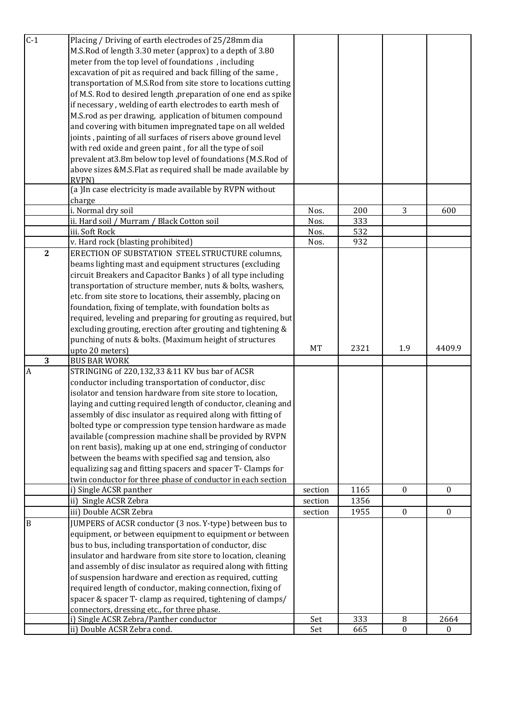| $C-1$          | Placing / Driving of earth electrodes of 25/28mm dia            |           |      |                  |                  |
|----------------|-----------------------------------------------------------------|-----------|------|------------------|------------------|
|                | M.S.Rod of length 3.30 meter (approx) to a depth of 3.80        |           |      |                  |                  |
|                | meter from the top level of foundations, including              |           |      |                  |                  |
|                |                                                                 |           |      |                  |                  |
|                | excavation of pit as required and back filling of the same,     |           |      |                  |                  |
|                | transportation of M.S.Rod from site store to locations cutting  |           |      |                  |                  |
|                | of M.S. Rod to desired length , preparation of one end as spike |           |      |                  |                  |
|                | if necessary, welding of earth electrodes to earth mesh of      |           |      |                  |                  |
|                | M.S.rod as per drawing, application of bitumen compound         |           |      |                  |                  |
|                | and covering with bitumen impregnated tape on all welded        |           |      |                  |                  |
|                | joints, painting of all surfaces of risers above ground level   |           |      |                  |                  |
|                | with red oxide and green paint, for all the type of soil        |           |      |                  |                  |
|                | prevalent at 3.8m below top level of foundations (M.S.Rod of    |           |      |                  |                  |
|                | above sizes &M.S.Flat as required shall be made available by    |           |      |                  |                  |
|                | <b>RVPN)</b>                                                    |           |      |                  |                  |
|                | (a) In case electricity is made available by RVPN without       |           |      |                  |                  |
|                | charge                                                          |           |      |                  |                  |
|                | i. Normal dry soil                                              | Nos.      | 200  | 3                | 600              |
|                | ii. Hard soil / Murram / Black Cotton soil                      | Nos.      | 333  |                  |                  |
|                | iii. Soft Rock                                                  | Nos.      | 532  |                  |                  |
|                | v. Hard rock (blasting prohibited)                              | Nos.      | 932  |                  |                  |
| $\overline{2}$ | ERECTION OF SUBSTATION STEEL STRUCTURE columns,                 |           |      |                  |                  |
|                | beams lighting mast and equipment structures (excluding         |           |      |                  |                  |
|                | circuit Breakers and Capacitor Banks ) of all type including    |           |      |                  |                  |
|                | transportation of structure member, nuts & bolts, washers,      |           |      |                  |                  |
|                | etc. from site store to locations, their assembly, placing on   |           |      |                  |                  |
|                | foundation, fixing of template, with foundation bolts as        |           |      |                  |                  |
|                | required, leveling and preparing for grouting as required, but  |           |      |                  |                  |
|                | excluding grouting, erection after grouting and tightening &    |           |      |                  |                  |
|                |                                                                 |           |      |                  |                  |
|                |                                                                 |           |      |                  |                  |
|                | punching of nuts & bolts. (Maximum height of structures         |           |      |                  |                  |
|                | upto 20 meters)                                                 | <b>MT</b> | 2321 | 1.9              | 4409.9           |
| 3              | <b>BUS BAR WORK</b>                                             |           |      |                  |                  |
| $\overline{A}$ | STRINGING of 220,132,33 &11 KV bus bar of ACSR                  |           |      |                  |                  |
|                | conductor including transportation of conductor, disc           |           |      |                  |                  |
|                | isolator and tension hardware from site store to location,      |           |      |                  |                  |
|                | laying and cutting required length of conductor, cleaning and   |           |      |                  |                  |
|                | assembly of disc insulator as required along with fitting of    |           |      |                  |                  |
|                | bolted type or compression type tension hardware as made        |           |      |                  |                  |
|                | available (compression machine shall be provided by RVPN        |           |      |                  |                  |
|                | on rent basis), making up at one end, stringing of conductor    |           |      |                  |                  |
|                | between the beams with specified sag and tension, also          |           |      |                  |                  |
|                | equalizing sag and fitting spacers and spacer T- Clamps for     |           |      |                  |                  |
|                | twin conductor for three phase of conductor in each section     |           |      |                  |                  |
|                | i) Single ACSR panther                                          | section   | 1165 | $\boldsymbol{0}$ | $\Omega$         |
|                | ii) Single ACSR Zebra                                           | section   | 1356 |                  |                  |
|                | iii) Double ACSR Zebra                                          | section   | 1955 | $\boldsymbol{0}$ | $\boldsymbol{0}$ |
| B              | JUMPERS of ACSR conductor (3 nos. Y-type) between bus to        |           |      |                  |                  |
|                | equipment, or between equipment to equipment or between         |           |      |                  |                  |
|                | bus to bus, including transportation of conductor, disc         |           |      |                  |                  |
|                | insulator and hardware from site store to location, cleaning    |           |      |                  |                  |
|                | and assembly of disc insulator as required along with fitting   |           |      |                  |                  |
|                | of suspension hardware and erection as required, cutting        |           |      |                  |                  |
|                | required length of conductor, making connection, fixing of      |           |      |                  |                  |
|                | spacer & spacer T- clamp as required, tightening of clamps/     |           |      |                  |                  |
|                | connectors, dressing etc., for three phase.                     |           |      |                  |                  |
|                | i) Single ACSR Zebra/Panther conductor                          | Set       | 333  | 8                | 2664             |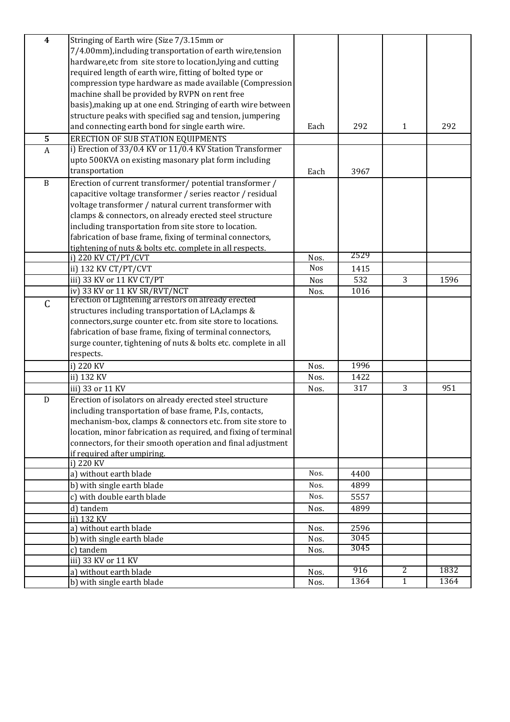| $\overline{\mathbf{4}}$ | Stringing of Earth wire (Size 7/3.15mm or                       |            |              |              |      |
|-------------------------|-----------------------------------------------------------------|------------|--------------|--------------|------|
|                         | 7/4.00mm), including transportation of earth wire, tension      |            |              |              |      |
|                         | hardware, etc from site store to location, lying and cutting    |            |              |              |      |
|                         | required length of earth wire, fitting of bolted type or        |            |              |              |      |
|                         | compression type hardware as made available (Compression        |            |              |              |      |
|                         | machine shall be provided by RVPN on rent free                  |            |              |              |      |
|                         | basis), making up at one end. Stringing of earth wire between   |            |              |              |      |
|                         | structure peaks with specified sag and tension, jumpering       |            |              |              |      |
|                         | and connecting earth bond for single earth wire.                | Each       | 292          | $\mathbf{1}$ | 292  |
| 5                       | <b>ERECTION OF SUB STATION EQUIPMENTS</b>                       |            |              |              |      |
| $\overline{A}$          | i) Erection of 33/0.4 KV or 11/0.4 KV Station Transformer       |            |              |              |      |
|                         | upto 500KVA on existing masonary plat form including            |            |              |              |      |
|                         | transportation                                                  | Each       | 3967         |              |      |
| $\, {\bf B}$            | Erection of current transformer/ potential transformer /        |            |              |              |      |
|                         | capacitive voltage transformer / series reactor / residual      |            |              |              |      |
|                         | voltage transformer / natural current transformer with          |            |              |              |      |
|                         | clamps & connectors, on already erected steel structure         |            |              |              |      |
|                         | including transportation from site store to location.           |            |              |              |      |
|                         | fabrication of base frame, fixing of terminal connectors,       |            |              |              |      |
|                         | tightening of nuts & bolts etc. complete in all respects.       |            |              |              |      |
|                         | i) 220 KV CT/PT/CVT                                             | Nos.       | 2529         |              |      |
|                         | ii) 132 KV CT/PT/CVT                                            | <b>Nos</b> | 1415         |              |      |
|                         | iii) 33 KV or 11 KV CT/PT                                       | Nos        | 532          | 3            | 1596 |
|                         | iv) 33 KV or 11 KV SR/RVT/NCT                                   | Nos.       | 1016         |              |      |
| $\mathsf C$             | Erection of Lightening arrestors on already erected             |            |              |              |      |
|                         | structures including transportation of LA, clamps &             |            |              |              |      |
|                         | connectors, surge counter etc. from site store to locations.    |            |              |              |      |
|                         | fabrication of base frame, fixing of terminal connectors,       |            |              |              |      |
|                         | surge counter, tightening of nuts & bolts etc. complete in all  |            |              |              |      |
|                         | respects.                                                       |            |              |              |      |
|                         | i) 220 KV                                                       | Nos.       | 1996         |              |      |
|                         | ii) 132 KV                                                      | Nos.       | 1422         |              |      |
|                         | iii) 33 or 11 KV                                                | Nos.       | 317          | 3            | 951  |
| ${\bf D}$               | Erection of isolators on already erected steel structure        |            |              |              |      |
|                         | including transportation of base frame, P.Is, contacts,         |            |              |              |      |
|                         | mechanism-box, clamps & connectors etc. from site store to      |            |              |              |      |
|                         | location, minor fabrication as required, and fixing of terminal |            |              |              |      |
|                         | connectors, for their smooth operation and final adjustment     |            |              |              |      |
|                         | if required after umpiring.                                     |            |              |              |      |
|                         | i) 220 KV                                                       |            |              |              |      |
|                         | a) without earth blade                                          | Nos.       | 4400         |              |      |
|                         | b) with single earth blade                                      | Nos.       | 4899         |              |      |
|                         | c) with double earth blade                                      | Nos.       | 5557         |              |      |
|                         | d) tandem                                                       | Nos.       | 4899         |              |      |
|                         | ii) 132 KV                                                      |            |              |              |      |
|                         | a) without earth blade                                          | Nos.       | 2596         |              |      |
|                         | b) with single earth blade                                      | Nos.       | 3045<br>3045 |              |      |
|                         | c) tandem                                                       | Nos.       |              |              |      |
|                         | iii) 33 KV or 11 KV                                             |            |              |              |      |
|                         | a) without earth blade                                          | Nos.       | 916          | 2            | 1832 |
|                         | b) with single earth blade                                      | Nos.       | 1364         | $\mathbf{1}$ | 1364 |